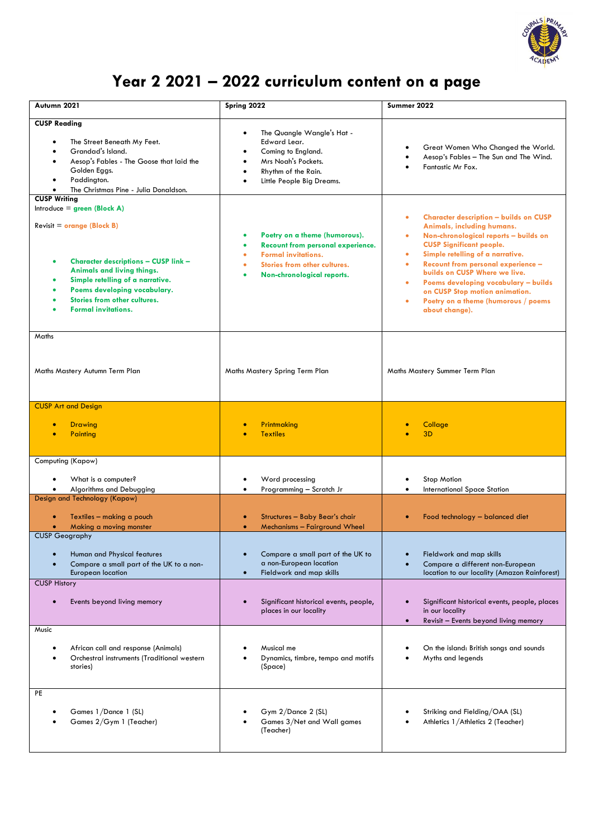

## **Year 2 2021 – 2022 curriculum content on a page**

| Autumn 2021                                                                                                                                                                                                                                                                                        | Spring 2022                                                                                                                                                           | Summer 2022                                                                                                                                                                                                                                                                                                                                                                                                                                                                |
|----------------------------------------------------------------------------------------------------------------------------------------------------------------------------------------------------------------------------------------------------------------------------------------------------|-----------------------------------------------------------------------------------------------------------------------------------------------------------------------|----------------------------------------------------------------------------------------------------------------------------------------------------------------------------------------------------------------------------------------------------------------------------------------------------------------------------------------------------------------------------------------------------------------------------------------------------------------------------|
| <b>CUSP Reading</b><br>The Street Beneath My Feet.<br>Grandad's Island.<br>Aesop's Fables - The Goose that laid the<br>Golden Eggs.<br>Paddington.<br>$\bullet$<br>The Christmas Pine - Julia Donaldson.                                                                                           | The Quangle Wangle's Hat -<br>$\bullet$<br>Edward Lear.<br>Coming to England.<br>Mrs Noah's Pockets.<br>Rhythm of the Rain.<br>Little People Big Dreams.              | Great Women Who Changed the World.<br>Aesop's Fables - The Sun and The Wind.<br>Fantastic Mr Fox.                                                                                                                                                                                                                                                                                                                                                                          |
| <b>CUSP Writing</b><br>Introduce = $green (Block A)$<br>$Review = orange (Block B)$<br><b>Character descriptions - CUSP link -</b><br>Animals and living things.<br>Simple retelling of a narrative.<br>Poems developing vocabulary.<br>Stories from other cultures.<br><b>Formal invitations.</b> | Poetry on a theme (humorous).<br><b>Recount from personal experience.</b><br><b>Formal invitations.</b><br>Stories from other cultures.<br>Non-chronological reports. | <b>Character description - builds on CUSP</b><br>$\bullet$<br>Animals, including humans.<br>Non-chronological reports - builds on<br>۰<br><b>CUSP Significant people.</b><br>Simple retelling of a narrative.<br>$\bullet$<br><b>Recount from personal experience -</b><br>$\bullet$<br>builds on CUSP Where we live.<br>Poems developing vocabulary - builds<br>$\bullet$<br>on CUSP Stop motion animation.<br>Poetry on a theme (humorous / poems<br>۰<br>about change). |
| Maths<br>Maths Mastery Autumn Term Plan                                                                                                                                                                                                                                                            | Maths Mastery Spring Term Plan                                                                                                                                        | Maths Mastery Summer Term Plan                                                                                                                                                                                                                                                                                                                                                                                                                                             |
| <b>CUSP Art and Design</b><br><b>Drawing</b><br>Painting                                                                                                                                                                                                                                           | Printmaking<br><b>Textiles</b>                                                                                                                                        | Collage<br>3D                                                                                                                                                                                                                                                                                                                                                                                                                                                              |
| Computing (Kapow)<br>What is a computer?<br>Algorithms and Debugging<br>Design and Technology (Kapow)                                                                                                                                                                                              | Word processing<br>Programming - Scratch Jr                                                                                                                           | Stop Motion<br>International Space Station                                                                                                                                                                                                                                                                                                                                                                                                                                 |
| Textiles - making a pouch<br>Making a moving monster<br><b>CUSP Geography</b>                                                                                                                                                                                                                      | Structures - Baby Bear's chair<br>Mechanisms - Fairground Wheel<br>$\bullet$                                                                                          | Food technology - balanced diet<br>$\bullet$                                                                                                                                                                                                                                                                                                                                                                                                                               |
| Human and Physical features<br>Compare a small part of the UK to a non-<br><b>European location</b>                                                                                                                                                                                                | Compare a small part of the UK to<br>a non-European location<br>Fieldwork and map skills                                                                              | Fieldwork and map skills<br>Compare a different non-European<br>location to our locality (Amazon Rainforest)                                                                                                                                                                                                                                                                                                                                                               |
| <b>CUSP History</b><br>Events beyond living memory                                                                                                                                                                                                                                                 | Significant historical events, people,<br>places in our locality                                                                                                      | Significant historical events, people, places<br>in our locality<br>Revisit - Events beyond living memory                                                                                                                                                                                                                                                                                                                                                                  |
| Music<br>African call and response (Animals)<br>Orchestral instruments (Traditional western<br>stories)                                                                                                                                                                                            | Musical me<br>Dynamics, timbre, tempo and motifs<br>(Space)                                                                                                           | On the island: British songs and sounds<br>Myths and legends                                                                                                                                                                                                                                                                                                                                                                                                               |
| PE<br>Games 1/Dance 1 (SL)<br>Games 2/Gym 1 (Teacher)                                                                                                                                                                                                                                              | Gym 2/Dance 2 (SL)<br>Games 3/Net and Wall games<br>(Teacher)                                                                                                         | Striking and Fielding/OAA (SL)<br>Athletics 1/Athletics 2 (Teacher)                                                                                                                                                                                                                                                                                                                                                                                                        |